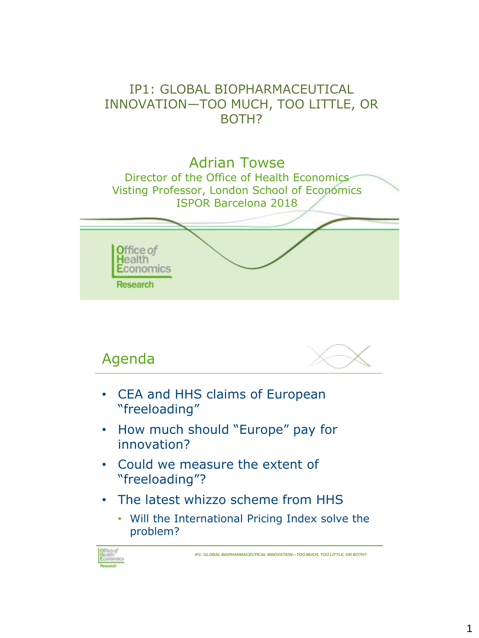### IP1: GLOBAL BIOPHARMACEUTICAL INNOVATION—TOO MUCH, TOO LITTLE, OR BOTH?





- CEA and HHS claims of European "freeloading"
- How much should "Europe" pay for innovation?
- Could we measure the extent of "freeloading"?
- The latest whizzo scheme from HHS
	- Will the International Pricing Index solve the problem?



Agenda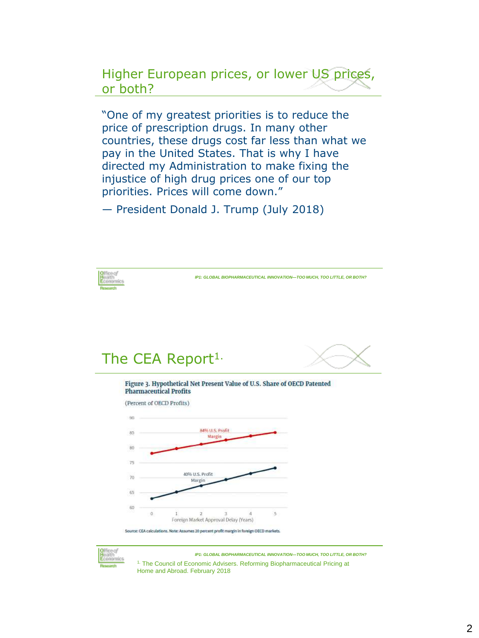Higher European prices, or lower US prices, or both?

"One of my greatest priorities is to reduce the price of prescription drugs. In many other countries, these drugs cost far less than what we pay in the United States. That is why I have directed my Administration to make fixing the injustice of high drug prices one of our top priorities. Prices will come down."

— President Donald J. Trump (July 2018)





*IP1: GLOBAL BIOPHARMACEUTICAL INNOVATION—TOO MUCH, TOO LITTLE, OR BOTH?*  <sup>1.</sup> The Council of Economic Advisers. Reforming Biopharmaceutical Pricing at Home and Abroad. February 2018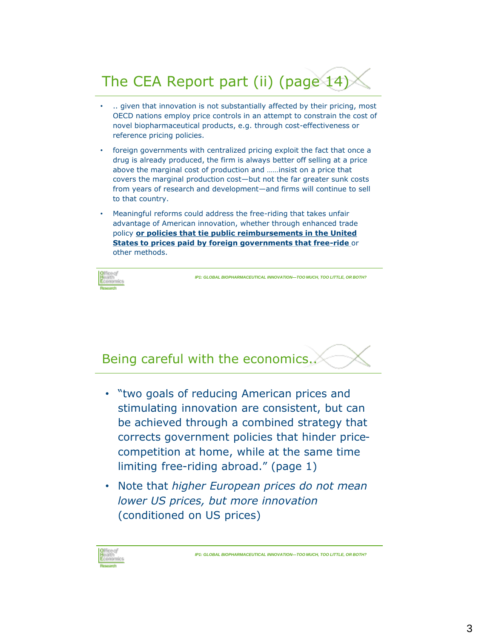# The CEA Report part (ii) (page 14)

- .. given that innovation is not substantially affected by their pricing, most OECD nations employ price controls in an attempt to constrain the cost of novel biopharmaceutical products, e.g. through cost-effectiveness or reference pricing policies.
- foreign governments with centralized pricing exploit the fact that once a drug is already produced, the firm is always better off selling at a price above the marginal cost of production and ……insist on a price that covers the marginal production cost—but not the far greater sunk costs from years of research and development—and firms will continue to sell to that country.
- Meaningful reforms could address the free-riding that takes unfair advantage of American innovation, whether through enhanced trade policy **or policies that tie public reimbursements in the United States to prices paid by foreign governments that free-ride** or other methods.



*IP1: GLOBAL BIOPHARMACEUTICAL INNOVATION—TOO MUCH, TOO LITTLE, OR BOTH?* 

## Being careful with the economics..

- "two goals of reducing American prices and stimulating innovation are consistent, but can be achieved through a combined strategy that corrects government policies that hinder pricecompetition at home, while at the same time limiting free-riding abroad." (page 1)
- Note that *higher European prices do not mean lower US prices, but more innovation*  (conditioned on US prices)

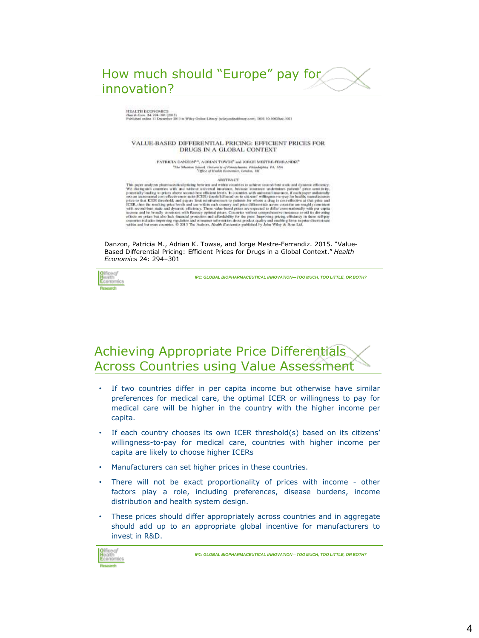

#### HEALTH ECONOMICS

Kon. 24: 294-301 (2015)<br>is colos 11 Disamber 2013 in Wiley Online Library (wileyonlookings.com), DOI: 10,1002/hac.1021

#### VALUE-BASED DIFFERENTIAL PRICING: EFFICIENT PRICES FOR DRUGS IN A GLOBAL CONTEXT

PATRICIA DANZON", ADRIAN TOWSP and JORGE MISTRE-PERRANDIZ" <sup>5</sup>The Musician School, University of Pannsylvania, Philadelphia, PA, 1804<br><sup>1</sup> CHICe of Hudsh Economics, London, DK

**ABSTRACT** 

This paper analyses pherometrical pricing between and systems. Also the consideration in this paper analyses pherometrical pricing between and within consideration in antiboxity. We change the consideration of the main ve

Danzon, Patricia M., Adrian K. Towse, and Jorge Mestre-Ferrandiz. 2015. "Value-Based Differential Pricing: Efficient Prices for Drugs in a Global Context." *Health Economics* 24: 294–301



*IP1: GLOBAL BIOPHARMACEUTICAL INNOVATION—TOO MUCH, TOO LITTLE, OR BOTH?* 

### Achieving Appropriate Price Differentials Across Countries using Value Assessment

- If two countries differ in per capita income but otherwise have similar preferences for medical care, the optimal ICER or willingness to pay for medical care will be higher in the country with the higher income per capita.
- If each country chooses its own ICER threshold(s) based on its citizens' willingness-to-pay for medical care, countries with higher income per capita are likely to choose higher ICERs
- Manufacturers can set higher prices in these countries.
- There will not be exact proportionality of prices with income other factors play a role, including preferences, disease burdens, income distribution and health system design.
- These prices should differ appropriately across countries and in aggregate should add up to an appropriate global incentive for manufacturers to invest in R&D.

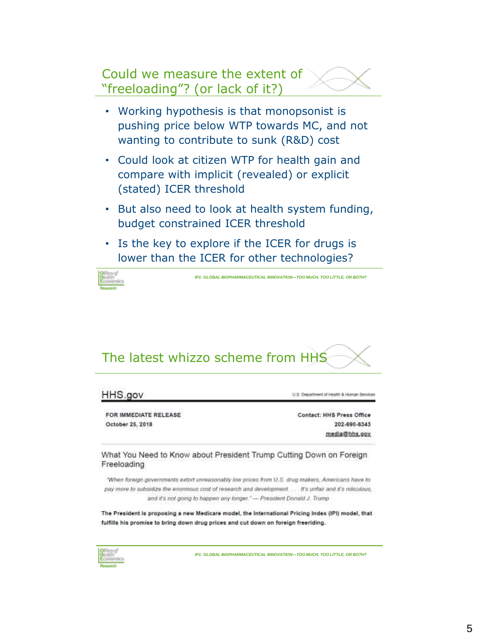### Could we measure the extent of "freeloading"? (or lack of it?)

- Working hypothesis is that monopsonist is pushing price below WTP towards MC, and not wanting to contribute to sunk (R&D) cost
- Could look at citizen WTP for health gain and compare with implicit (revealed) or explicit (stated) ICER threshold
- But also need to look at health system funding, budget constrained ICER threshold
- Is the key to explore if the ICER for drugs is lower than the ICER for other technologies?



*IP1: GLOBAL BIOPHARMACEUTICAL INNOVATION—TOO MUCH, TOO LITTLE, OR BOTH?* 

# The latest whizzo scheme from HHS

### HHS.gov

FOR IMMEDIATE RELEASE October 25, 2018

U.S. Department of Health & Human Services

Contact: HHS Press Office 202-690-6343 media@hhs.gov

What You Need to Know about President Trump Cutting Down on Foreign Freeloading

"When foreign governments extort unreasonably low prices from U.S. drug makers, Americans have to pay more to subsidize the enormous cost of research and development..... It's unfair and it's ridiculous, and it's not going to happen any longer." - President Donald J. Trump

The President is proposing a new Medicare model, the International Pricing Index (IPI) model, that fulfills his promise to bring down drug prices and cut down on foreign freeriding.